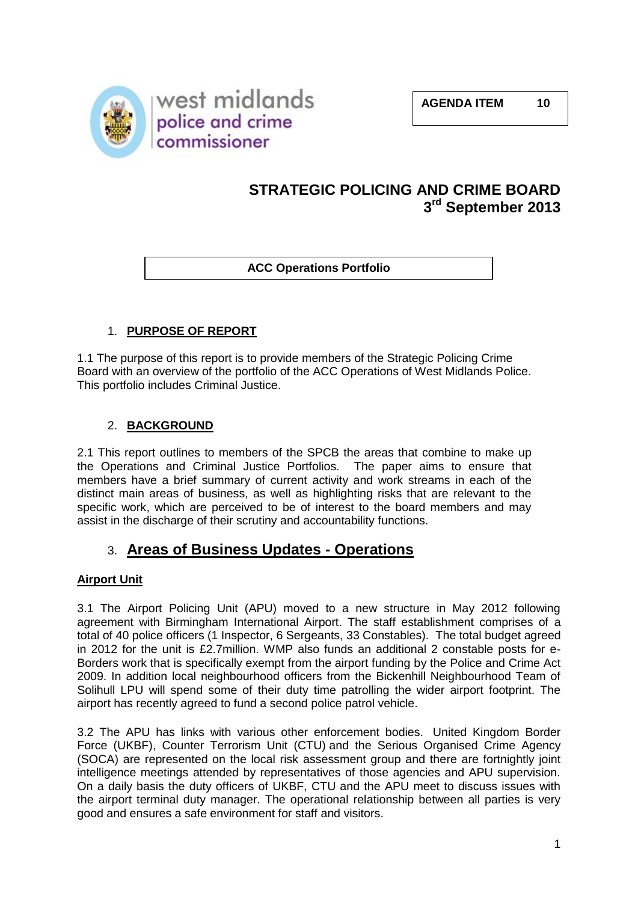

# **STRATEGIC POLICING AND CRIME BOARD 3 rd September 2013**

**ACC Operations Portfolio**

# 1. **PURPOSE OF REPORT**

1.1 The purpose of this report is to provide members of the Strategic Policing Crime Board with an overview of the portfolio of the ACC Operations of West Midlands Police. This portfolio includes Criminal Justice.

# 2. **BACKGROUND**

2.1 This report outlines to members of the SPCB the areas that combine to make up the Operations and Criminal Justice Portfolios. The paper aims to ensure that members have a brief summary of current activity and work streams in each of the distinct main areas of business, as well as highlighting risks that are relevant to the specific work, which are perceived to be of interest to the board members and may assist in the discharge of their scrutiny and accountability functions.

# 3. **Areas of Business Updates - Operations**

# **Airport Unit**

3.1 The Airport Policing Unit (APU) moved to a new structure in May 2012 following agreement with Birmingham International Airport. The staff establishment comprises of a total of 40 police officers (1 Inspector, 6 Sergeants, 33 Constables). The total budget agreed in 2012 for the unit is £2.7million. WMP also funds an additional 2 constable posts for e-Borders work that is specifically exempt from the airport funding by the Police and Crime Act 2009. In addition local neighbourhood officers from the Bickenhill Neighbourhood Team of Solihull LPU will spend some of their duty time patrolling the wider airport footprint. The airport has recently agreed to fund a second police patrol vehicle.

3.2 The APU has links with various other enforcement bodies. United Kingdom Border Force (UKBF), Counter Terrorism Unit (CTU) and the Serious Organised Crime Agency (SOCA) are represented on the local risk assessment group and there are fortnightly joint intelligence meetings attended by representatives of those agencies and APU supervision. On a daily basis the duty officers of UKBF, CTU and the APU meet to discuss issues with the airport terminal duty manager. The operational relationship between all parties is very good and ensures a safe environment for staff and visitors.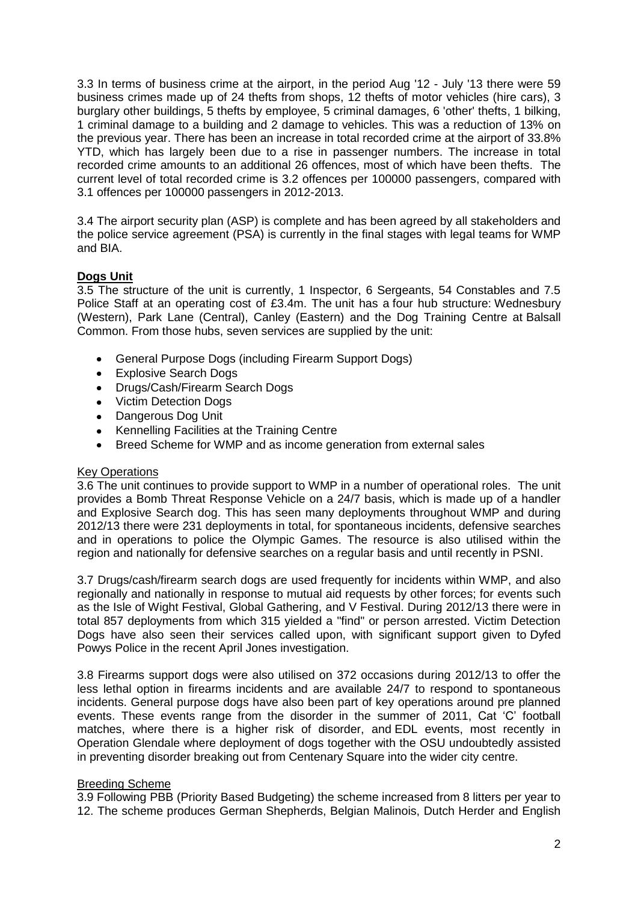3.3 In terms of business crime at the airport, in the period Aug '12 - July '13 there were 59 business crimes made up of 24 thefts from shops, 12 thefts of motor vehicles (hire cars), 3 burglary other buildings, 5 thefts by employee, 5 criminal damages, 6 'other' thefts, 1 bilking, 1 criminal damage to a building and 2 damage to vehicles. This was a reduction of 13% on the previous year. There has been an increase in total recorded crime at the airport of 33.8% YTD, which has largely been due to a rise in passenger numbers. The increase in total recorded crime amounts to an additional 26 offences, most of which have been thefts. The current level of total recorded crime is 3.2 offences per 100000 passengers, compared with 3.1 offences per 100000 passengers in 2012-2013.

3.4 The airport security plan (ASP) is complete and has been agreed by all stakeholders and the police service agreement (PSA) is currently in the final stages with legal teams for WMP and BIA.

### **Dogs Unit**

3.5 The structure of the unit is currently, 1 Inspector, 6 Sergeants, 54 Constables and 7.5 Police Staff at an operating cost of £3.4m. The unit has a four hub structure: Wednesbury (Western), Park Lane (Central), Canley (Eastern) and the Dog Training Centre at Balsall Common. From those hubs, seven services are supplied by the unit:

- General Purpose Dogs (including Firearm Support Dogs)  $\bullet$
- Explosive Search Dogs  $\bullet$
- Drugs/Cash/Firearm Search Dogs  $\bullet$
- Victim Detection Dogs  $\bullet$
- Dangerous Dog Unit  $\bullet$
- Kennelling Facilities at the Training Centre  $\bullet$
- Breed Scheme for WMP and as income generation from external sales

#### Key Operations

3.6 The unit continues to provide support to WMP in a number of operational roles. The unit provides a Bomb Threat Response Vehicle on a 24/7 basis, which is made up of a handler and Explosive Search dog. This has seen many deployments throughout WMP and during 2012/13 there were 231 deployments in total, for spontaneous incidents, defensive searches and in operations to police the Olympic Games. The resource is also utilised within the region and nationally for defensive searches on a regular basis and until recently in PSNI.

3.7 Drugs/cash/firearm search dogs are used frequently for incidents within WMP, and also regionally and nationally in response to mutual aid requests by other forces; for events such as the Isle of Wight Festival, Global Gathering, and V Festival. During 2012/13 there were in total 857 deployments from which 315 yielded a "find" or person arrested. Victim Detection Dogs have also seen their services called upon, with significant support given to Dyfed Powys Police in the recent April Jones investigation.

3.8 Firearms support dogs were also utilised on 372 occasions during 2012/13 to offer the less lethal option in firearms incidents and are available 24/7 to respond to spontaneous incidents. General purpose dogs have also been part of key operations around pre planned events. These events range from the disorder in the summer of 2011, Cat 'C' football matches, where there is a higher risk of disorder, and EDL events, most recently in Operation Glendale where deployment of dogs together with the OSU undoubtedly assisted in preventing disorder breaking out from Centenary Square into the wider city centre.

#### Breeding Scheme

3.9 Following PBB (Priority Based Budgeting) the scheme increased from 8 litters per year to 12. The scheme produces German Shepherds, Belgian Malinois, Dutch Herder and English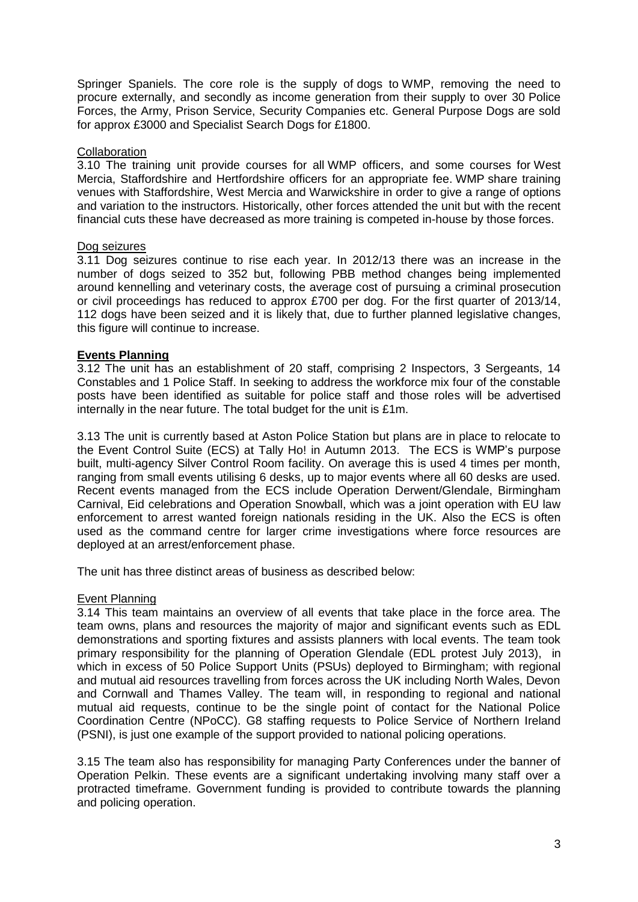Springer Spaniels. The core role is the supply of dogs to WMP, removing the need to procure externally, and secondly as income generation from their supply to over 30 Police Forces, the Army, Prison Service, Security Companies etc. General Purpose Dogs are sold for approx £3000 and Specialist Search Dogs for £1800.

#### **Collaboration**

3.10 The training unit provide courses for all WMP officers, and some courses for West Mercia, Staffordshire and Hertfordshire officers for an appropriate fee. WMP share training venues with Staffordshire, West Mercia and Warwickshire in order to give a range of options and variation to the instructors. Historically, other forces attended the unit but with the recent financial cuts these have decreased as more training is competed in-house by those forces.

#### Dog seizures

3.11 Dog seizures continue to rise each year. In 2012/13 there was an increase in the number of dogs seized to 352 but, following PBB method changes being implemented around kennelling and veterinary costs, the average cost of pursuing a criminal prosecution or civil proceedings has reduced to approx £700 per dog. For the first quarter of 2013/14, 112 dogs have been seized and it is likely that, due to further planned legislative changes, this figure will continue to increase.

#### **Events Planning**

3.12 The unit has an establishment of 20 staff, comprising 2 Inspectors, 3 Sergeants, 14 Constables and 1 Police Staff. In seeking to address the workforce mix four of the constable posts have been identified as suitable for police staff and those roles will be advertised internally in the near future. The total budget for the unit is £1m.

3.13 The unit is currently based at Aston Police Station but plans are in place to relocate to the Event Control Suite (ECS) at Tally Ho! in Autumn 2013. The ECS is WMP's purpose built, multi-agency Silver Control Room facility. On average this is used 4 times per month, ranging from small events utilising 6 desks, up to major events where all 60 desks are used. Recent events managed from the ECS include Operation Derwent/Glendale, Birmingham Carnival, Eid celebrations and Operation Snowball, which was a joint operation with EU law enforcement to arrest wanted foreign nationals residing in the UK. Also the ECS is often used as the command centre for larger crime investigations where force resources are deployed at an arrest/enforcement phase.

The unit has three distinct areas of business as described below:

#### Event Planning

3.14 This team maintains an overview of all events that take place in the force area. The team owns, plans and resources the majority of major and significant events such as EDL demonstrations and sporting fixtures and assists planners with local events. The team took primary responsibility for the planning of Operation Glendale (EDL protest July 2013), in which in excess of 50 Police Support Units (PSUs) deployed to Birmingham; with regional and mutual aid resources travelling from forces across the UK including North Wales, Devon and Cornwall and Thames Valley. The team will, in responding to regional and national mutual aid requests, continue to be the single point of contact for the National Police Coordination Centre (NPoCC). G8 staffing requests to Police Service of Northern Ireland (PSNI), is just one example of the support provided to national policing operations.

3.15 The team also has responsibility for managing Party Conferences under the banner of Operation Pelkin. These events are a significant undertaking involving many staff over a protracted timeframe. Government funding is provided to contribute towards the planning and policing operation.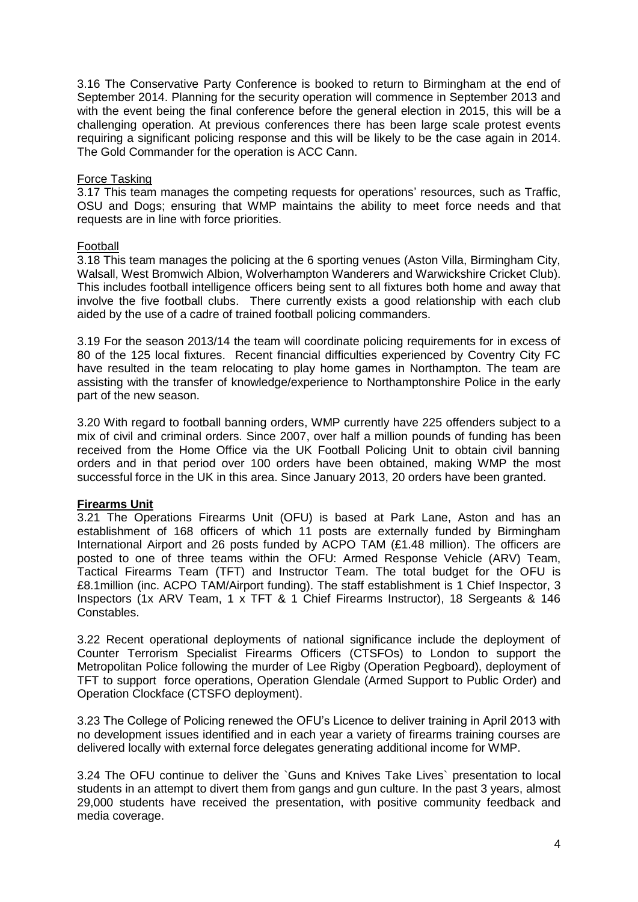3.16 The Conservative Party Conference is booked to return to Birmingham at the end of September 2014. Planning for the security operation will commence in September 2013 and with the event being the final conference before the general election in 2015, this will be a challenging operation. At previous conferences there has been large scale protest events requiring a significant policing response and this will be likely to be the case again in 2014. The Gold Commander for the operation is ACC Cann.

#### Force Tasking

3.17 This team manages the competing requests for operations' resources, such as Traffic, OSU and Dogs; ensuring that WMP maintains the ability to meet force needs and that requests are in line with force priorities.

#### Football

3.18 This team manages the policing at the 6 sporting venues (Aston Villa, Birmingham City, Walsall, West Bromwich Albion, Wolverhampton Wanderers and Warwickshire Cricket Club). This includes football intelligence officers being sent to all fixtures both home and away that involve the five football clubs. There currently exists a good relationship with each club aided by the use of a cadre of trained football policing commanders.

3.19 For the season 2013/14 the team will coordinate policing requirements for in excess of 80 of the 125 local fixtures. Recent financial difficulties experienced by Coventry City FC have resulted in the team relocating to play home games in Northampton. The team are assisting with the transfer of knowledge/experience to Northamptonshire Police in the early part of the new season.

3.20 With regard to football banning orders, WMP currently have 225 offenders subject to a mix of civil and criminal orders. Since 2007, over half a million pounds of funding has been received from the Home Office via the UK Football Policing Unit to obtain civil banning orders and in that period over 100 orders have been obtained, making WMP the most successful force in the UK in this area. Since January 2013, 20 orders have been granted.

#### **Firearms Unit**

3.21 The Operations Firearms Unit (OFU) is based at Park Lane, Aston and has an establishment of 168 officers of which 11 posts are externally funded by Birmingham International Airport and 26 posts funded by ACPO TAM (£1.48 million). The officers are posted to one of three teams within the OFU: Armed Response Vehicle (ARV) Team, Tactical Firearms Team (TFT) and Instructor Team. The total budget for the OFU is £8.1million (inc. ACPO TAM/Airport funding). The staff establishment is 1 Chief Inspector, 3 Inspectors (1x ARV Team, 1 x TFT & 1 Chief Firearms Instructor), 18 Sergeants & 146 Constables.

3.22 Recent operational deployments of national significance include the deployment of Counter Terrorism Specialist Firearms Officers (CTSFOs) to London to support the Metropolitan Police following the murder of Lee Rigby (Operation Pegboard), deployment of TFT to support force operations, Operation Glendale (Armed Support to Public Order) and Operation Clockface (CTSFO deployment).

3.23 The College of Policing renewed the OFU's Licence to deliver training in April 2013 with no development issues identified and in each year a variety of firearms training courses are delivered locally with external force delegates generating additional income for WMP.

3.24 The OFU continue to deliver the `Guns and Knives Take Lives` presentation to local students in an attempt to divert them from gangs and gun culture. In the past 3 years, almost 29,000 students have received the presentation, with positive community feedback and media coverage.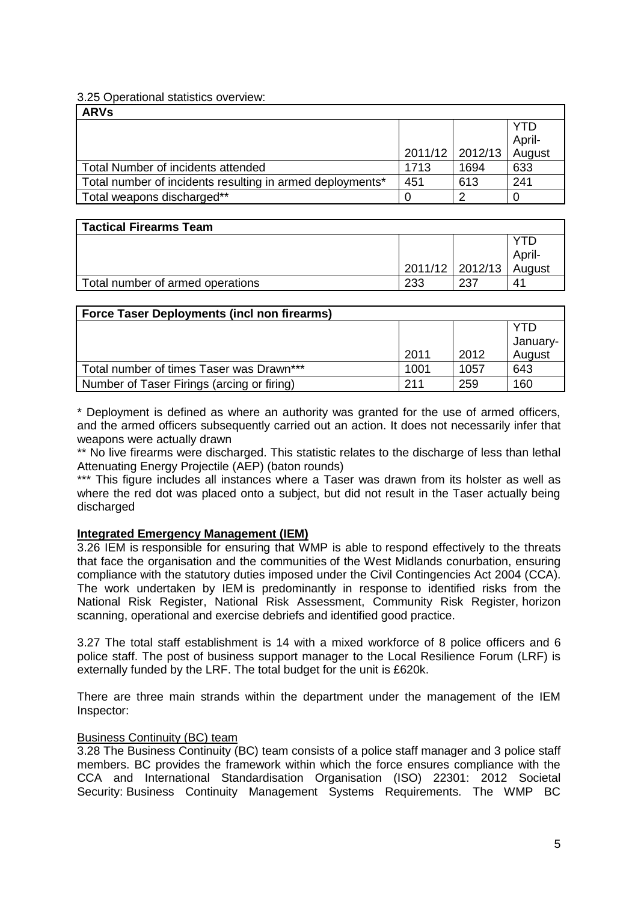#### 3.25 Operational statistics overview:

| <b>ARVs</b>                                               |      |                   |        |  |
|-----------------------------------------------------------|------|-------------------|--------|--|
|                                                           |      |                   | YTD    |  |
|                                                           |      |                   | April- |  |
|                                                           |      | 2011/12   2012/13 | August |  |
| Total Number of incidents attended                        | 1713 | 1694              | 633    |  |
| Total number of incidents resulting in armed deployments* | 451  | 613               | 241    |  |
| Total weapons discharged**                                |      | ົ                 |        |  |

| <b>Tactical Firearms Team</b>    |     |                   |        |  |
|----------------------------------|-----|-------------------|--------|--|
|                                  |     |                   | ГŊ     |  |
|                                  |     |                   | April- |  |
|                                  |     | 2011/12   2012/13 | August |  |
| Total number of armed operations | 233 | 237               | 41     |  |

| <b>Force Taser Deployments (incl non firearms)</b> |      |      |                 |  |  |
|----------------------------------------------------|------|------|-----------------|--|--|
|                                                    |      |      | YTD<br>January- |  |  |
|                                                    | 2011 | 2012 | August          |  |  |
| Total number of times Taser was Drawn***           | 1001 | 1057 | 643             |  |  |
| Number of Taser Firings (arcing or firing)         | 211  | 259  | 160             |  |  |

\* Deployment is defined as where an authority was granted for the use of armed officers, and the armed officers subsequently carried out an action. It does not necessarily infer that weapons were actually drawn

\*\* No live firearms were discharged. This statistic relates to the discharge of less than lethal Attenuating Energy Projectile (AEP) (baton rounds)

\*\*\* This figure includes all instances where a Taser was drawn from its holster as well as where the red dot was placed onto a subject, but did not result in the Taser actually being discharged

#### **Integrated Emergency Management (IEM)**

3.26 IEM is responsible for ensuring that WMP is able to respond effectively to the threats that face the organisation and the communities of the West Midlands conurbation, ensuring compliance with the statutory duties imposed under the Civil Contingencies Act 2004 (CCA). The work undertaken by IEM is predominantly in response to identified risks from the National Risk Register, National Risk Assessment, Community Risk Register, horizon scanning, operational and exercise debriefs and identified good practice.

3.27 The total staff establishment is 14 with a mixed workforce of 8 police officers and 6 police staff. The post of business support manager to the Local Resilience Forum (LRF) is externally funded by the LRF. The total budget for the unit is £620k.

There are three main strands within the department under the management of the IEM Inspector:

#### Business Continuity (BC) team

3.28 The Business Continuity (BC) team consists of a police staff manager and 3 police staff members. BC provides the framework within which the force ensures compliance with the CCA and International Standardisation Organisation (ISO) 22301: 2012 Societal Security: Business Continuity Management Systems Requirements. The WMP BC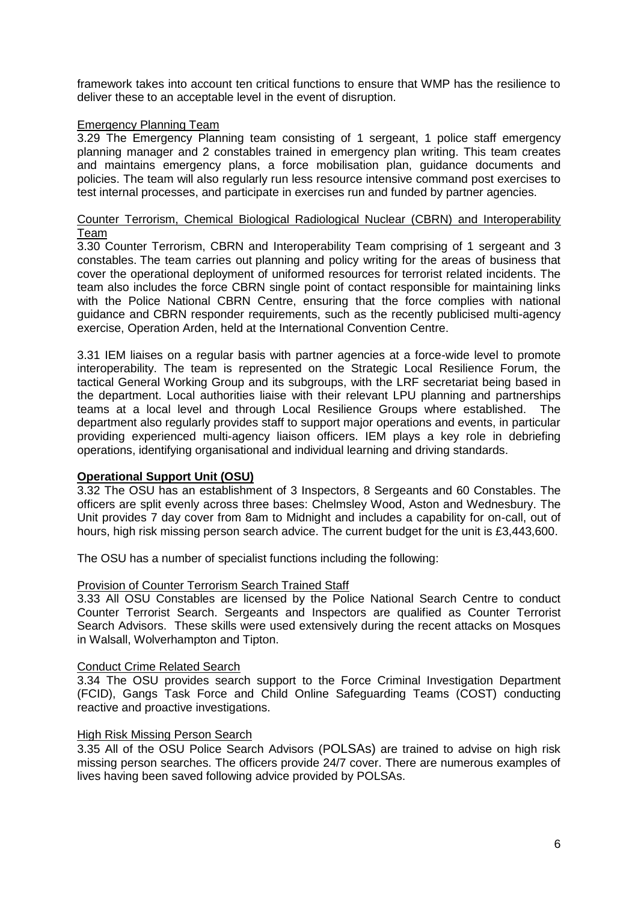framework takes into account ten critical functions to ensure that WMP has the resilience to deliver these to an acceptable level in the event of disruption.

#### Emergency Planning Team

3.29 The Emergency Planning team consisting of 1 sergeant, 1 police staff emergency planning manager and 2 constables trained in emergency plan writing. This team creates and maintains emergency plans, a force mobilisation plan, guidance documents and policies. The team will also regularly run less resource intensive command post exercises to test internal processes, and participate in exercises run and funded by partner agencies.

#### Counter Terrorism, Chemical Biological Radiological Nuclear (CBRN) and Interoperability Team

3.30 Counter Terrorism, CBRN and Interoperability Team comprising of 1 sergeant and 3 constables. The team carries out planning and policy writing for the areas of business that cover the operational deployment of uniformed resources for terrorist related incidents. The team also includes the force CBRN single point of contact responsible for maintaining links with the Police National CBRN Centre, ensuring that the force complies with national guidance and CBRN responder requirements, such as the recently publicised multi-agency exercise, Operation Arden, held at the International Convention Centre.

3.31 IEM liaises on a regular basis with partner agencies at a force-wide level to promote interoperability. The team is represented on the Strategic Local Resilience Forum, the tactical General Working Group and its subgroups, with the LRF secretariat being based in the department. Local authorities liaise with their relevant LPU planning and partnerships teams at a local level and through Local Resilience Groups where established. The department also regularly provides staff to support major operations and events, in particular providing experienced multi-agency liaison officers. IEM plays a key role in debriefing operations, identifying organisational and individual learning and driving standards.

#### **Operational Support Unit (OSU)**

3.32 The OSU has an establishment of 3 Inspectors, 8 Sergeants and 60 Constables. The officers are split evenly across three bases: Chelmsley Wood, Aston and Wednesbury. The Unit provides 7 day cover from 8am to Midnight and includes a capability for on-call, out of hours, high risk missing person search advice. The current budget for the unit is £3,443,600.

The OSU has a number of specialist functions including the following:

#### Provision of Counter Terrorism Search Trained Staff

3.33 All OSU Constables are licensed by the Police National Search Centre to conduct Counter Terrorist Search. Sergeants and Inspectors are qualified as Counter Terrorist Search Advisors. These skills were used extensively during the recent attacks on Mosques in Walsall, Wolverhampton and Tipton.

#### **Conduct Crime Related Search**

3.34 The OSU provides search support to the Force Criminal Investigation Department (FCID), Gangs Task Force and Child Online Safeguarding Teams (COST) conducting reactive and proactive investigations.

#### High Risk Missing Person Search

3.35 All of the OSU Police Search Advisors (POLSAs) are trained to advise on high risk missing person searches. The officers provide 24/7 cover. There are numerous examples of lives having been saved following advice provided by POLSAs.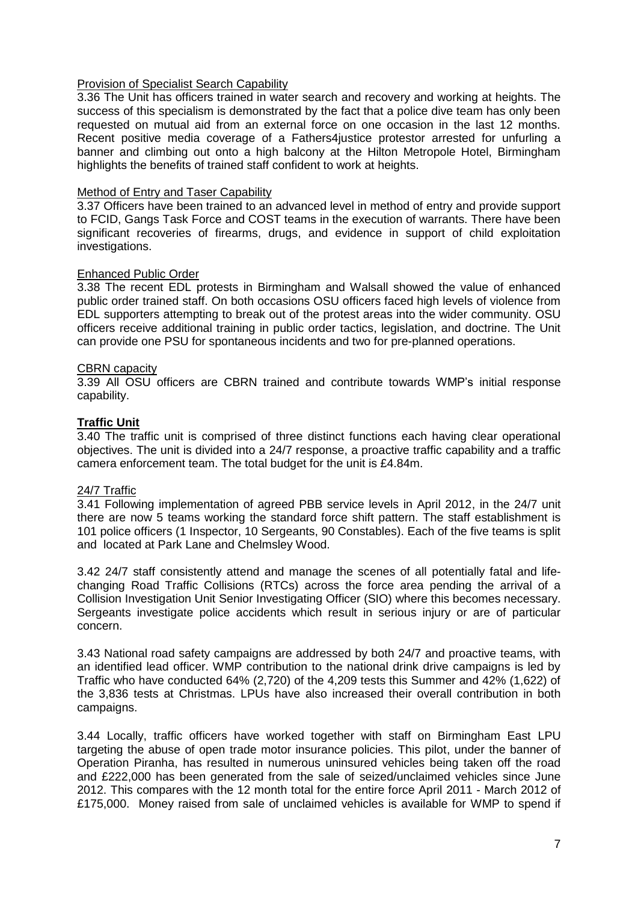#### Provision of Specialist Search Capability

3.36 The Unit has officers trained in water search and recovery and working at heights. The success of this specialism is demonstrated by the fact that a police dive team has only been requested on mutual aid from an external force on one occasion in the last 12 months. Recent positive media coverage of a Fathers4justice protestor arrested for unfurling a banner and climbing out onto a high balcony at the Hilton Metropole Hotel, Birmingham highlights the benefits of trained staff confident to work at heights.

#### Method of Entry and Taser Capability

3.37 Officers have been trained to an advanced level in method of entry and provide support to FCID, Gangs Task Force and COST teams in the execution of warrants. There have been significant recoveries of firearms, drugs, and evidence in support of child exploitation investigations.

#### Enhanced Public Order

3.38 The recent EDL protests in Birmingham and Walsall showed the value of enhanced public order trained staff. On both occasions OSU officers faced high levels of violence from EDL supporters attempting to break out of the protest areas into the wider community. OSU officers receive additional training in public order tactics, legislation, and doctrine. The Unit can provide one PSU for spontaneous incidents and two for pre-planned operations.

#### CBRN capacity

3.39 All OSU officers are CBRN trained and contribute towards WMP's initial response capability.

#### **Traffic Unit**

3.40 The traffic unit is comprised of three distinct functions each having clear operational objectives. The unit is divided into a 24/7 response, a proactive traffic capability and a traffic camera enforcement team. The total budget for the unit is £4.84m.

#### 24/7 Traffic

3.41 Following implementation of agreed PBB service levels in April 2012, in the 24/7 unit there are now 5 teams working the standard force shift pattern. The staff establishment is 101 police officers (1 Inspector, 10 Sergeants, 90 Constables). Each of the five teams is split and located at Park Lane and Chelmsley Wood.

3.42 24/7 staff consistently attend and manage the scenes of all potentially fatal and lifechanging Road Traffic Collisions (RTCs) across the force area pending the arrival of a Collision Investigation Unit Senior Investigating Officer (SIO) where this becomes necessary. Sergeants investigate police accidents which result in serious injury or are of particular concern.

3.43 National road safety campaigns are addressed by both 24/7 and proactive teams, with an identified lead officer. WMP contribution to the national drink drive campaigns is led by Traffic who have conducted 64% (2,720) of the 4,209 tests this Summer and 42% (1,622) of the 3,836 tests at Christmas. LPUs have also increased their overall contribution in both campaigns.

3.44 Locally, traffic officers have worked together with staff on Birmingham East LPU targeting the abuse of open trade motor insurance policies. This pilot, under the banner of Operation Piranha, has resulted in numerous uninsured vehicles being taken off the road and £222,000 has been generated from the sale of seized/unclaimed vehicles since June 2012. This compares with the 12 month total for the entire force April 2011 - March 2012 of £175,000. Money raised from sale of unclaimed vehicles is available for WMP to spend if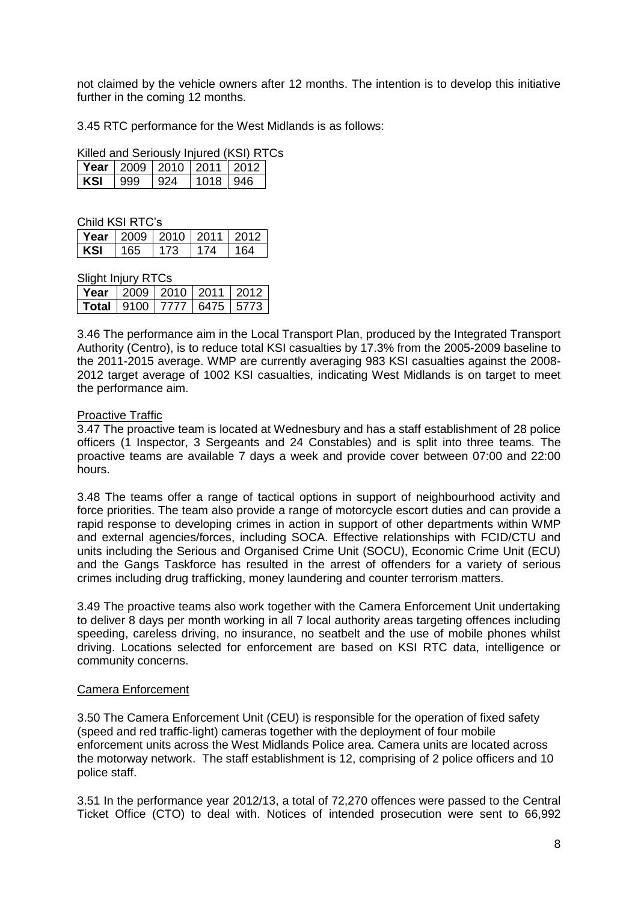not claimed by the vehicle owners after 12 months. The intention is to develop this initiative further in the coming 12 months.

3.45 RTC performance for the West Midlands is as follows:

Killed and Seriously Injured (KSI) RTCs

|     | <b>Year</b>   2009   2010   2011   2012 |     |            |  |
|-----|-----------------------------------------|-----|------------|--|
| KSL |                                         | 924 | 1018   946 |  |

| Child KSI RTC's                         |             |     |     |
|-----------------------------------------|-------------|-----|-----|
| <b>Year</b>   2009   2010   2011   2012 |             |     |     |
| KSI                                     | $165$   173 | 174 | 164 |

Slight Injury RTCs

| Year   2009   2010   2011   2012 |  |  |
|----------------------------------|--|--|
|                                  |  |  |

3.46 The performance aim in the Local Transport Plan, produced by the Integrated Transport Authority (Centro), is to reduce total KSI casualties by 17.3% from the 2005-2009 baseline to the 2011-2015 average. WMP are currently averaging 983 KSI casualties against the 2008- 2012 target average of 1002 KSI casualties, indicating West Midlands is on target to meet the performance aim.

#### Proactive Traffic

3.47 The proactive team is located at Wednesbury and has a staff establishment of 28 police officers (1 Inspector, 3 Sergeants and 24 Constables) and is split into three teams. The proactive teams are available 7 days a week and provide cover between 07:00 and 22:00 hours.

3.48 The teams offer a range of tactical options in support of neighbourhood activity and force priorities. The team also provide a range of motorcycle escort duties and can provide a rapid response to developing crimes in action in support of other departments within WMP and external agencies/forces, including SOCA. Effective relationships with FCID/CTU and units including the Serious and Organised Crime Unit (SOCU), Economic Crime Unit (ECU) and the Gangs Taskforce has resulted in the arrest of offenders for a variety of serious crimes including drug trafficking, money laundering and counter terrorism matters.

3.49 The proactive teams also work together with the Camera Enforcement Unit undertaking to deliver 8 days per month working in all 7 local authority areas targeting offences including speeding, careless driving, no insurance, no seatbelt and the use of mobile phones whilst driving. Locations selected for enforcement are based on KSI RTC data, intelligence or community concerns.

#### Camera Enforcement

3.50 The Camera Enforcement Unit (CEU) is responsible for the operation of fixed safety (speed and red traffic-light) cameras together with the deployment of four mobile enforcement units across the West Midlands Police area. Camera units are located across the motorway network. The staff establishment is 12, comprising of 2 police officers and 10 police staff.

3.51 In the performance year 2012/13, a total of 72,270 offences were passed to the Central Ticket Office (CTO) to deal with. Notices of intended prosecution were sent to 66,992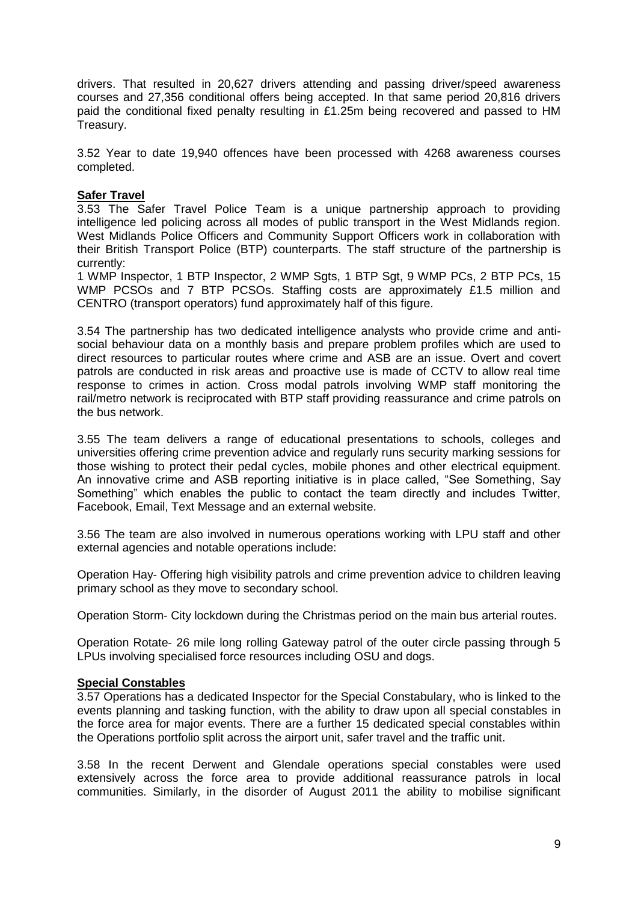drivers. That resulted in 20,627 drivers attending and passing driver/speed awareness courses and 27,356 conditional offers being accepted. In that same period 20,816 drivers paid the conditional fixed penalty resulting in £1.25m being recovered and passed to HM Treasury.

3.52 Year to date 19,940 offences have been processed with 4268 awareness courses completed.

#### **Safer Travel**

3.53 The Safer Travel Police Team is a unique partnership approach to providing intelligence led policing across all modes of public transport in the West Midlands region. West Midlands Police Officers and Community Support Officers work in collaboration with their British Transport Police (BTP) counterparts. The staff structure of the partnership is currently:

1 WMP Inspector, 1 BTP Inspector, 2 WMP Sgts, 1 BTP Sgt, 9 WMP PCs, 2 BTP PCs, 15 WMP PCSOs and 7 BTP PCSOs. Staffing costs are approximately £1.5 million and CENTRO (transport operators) fund approximately half of this figure.

3.54 The partnership has two dedicated intelligence analysts who provide crime and antisocial behaviour data on a monthly basis and prepare problem profiles which are used to direct resources to particular routes where crime and ASB are an issue. Overt and covert patrols are conducted in risk areas and proactive use is made of CCTV to allow real time response to crimes in action. Cross modal patrols involving WMP staff monitoring the rail/metro network is reciprocated with BTP staff providing reassurance and crime patrols on the bus network.

3.55 The team delivers a range of educational presentations to schools, colleges and universities offering crime prevention advice and regularly runs security marking sessions for those wishing to protect their pedal cycles, mobile phones and other electrical equipment. An innovative crime and ASB reporting initiative is in place called, "See Something, Say Something" which enables the public to contact the team directly and includes Twitter, Facebook, Email, Text Message and an external website.

3.56 The team are also involved in numerous operations working with LPU staff and other external agencies and notable operations include:

Operation Hay- Offering high visibility patrols and crime prevention advice to children leaving primary school as they move to secondary school.

Operation Storm- City lockdown during the Christmas period on the main bus arterial routes.

Operation Rotate- 26 mile long rolling Gateway patrol of the outer circle passing through 5 LPUs involving specialised force resources including OSU and dogs.

#### **Special Constables**

3.57 Operations has a dedicated Inspector for the Special Constabulary, who is linked to the events planning and tasking function, with the ability to draw upon all special constables in the force area for major events. There are a further 15 dedicated special constables within the Operations portfolio split across the airport unit, safer travel and the traffic unit.

3.58 In the recent Derwent and Glendale operations special constables were used extensively across the force area to provide additional reassurance patrols in local communities. Similarly, in the disorder of August 2011 the ability to mobilise significant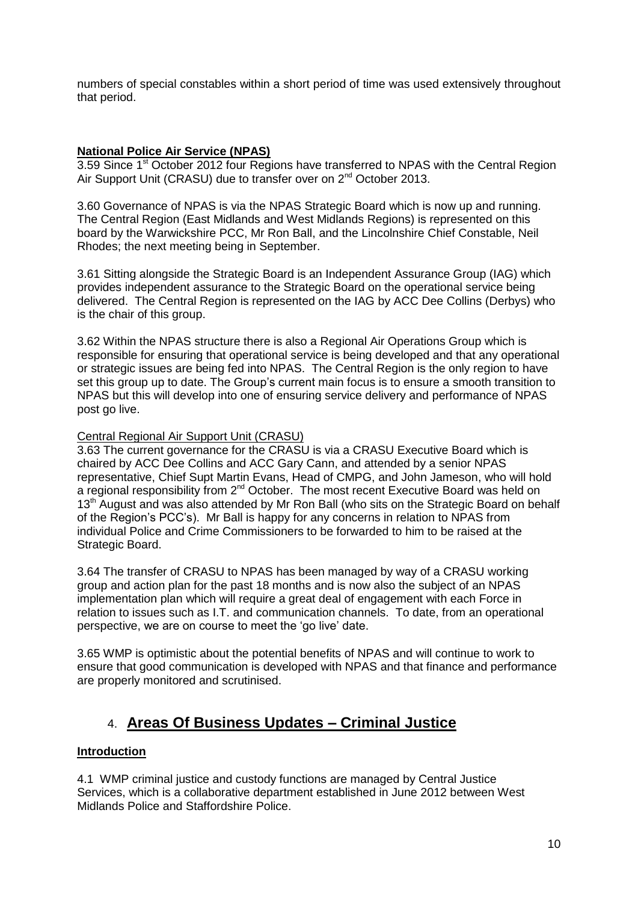numbers of special constables within a short period of time was used extensively throughout that period.

### **National Police Air Service (NPAS)**

3.59 Since 1<sup>st</sup> October 2012 four Regions have transferred to NPAS with the Central Region Air Support Unit (CRASU) due to transfer over on 2<sup>nd</sup> October 2013.

3.60 Governance of NPAS is via the NPAS Strategic Board which is now up and running. The Central Region (East Midlands and West Midlands Regions) is represented on this board by the Warwickshire PCC, Mr Ron Ball, and the Lincolnshire Chief Constable, Neil Rhodes; the next meeting being in September.

3.61 Sitting alongside the Strategic Board is an Independent Assurance Group (IAG) which provides independent assurance to the Strategic Board on the operational service being delivered. The Central Region is represented on the IAG by ACC Dee Collins (Derbys) who is the chair of this group.

3.62 Within the NPAS structure there is also a Regional Air Operations Group which is responsible for ensuring that operational service is being developed and that any operational or strategic issues are being fed into NPAS. The Central Region is the only region to have set this group up to date. The Group's current main focus is to ensure a smooth transition to NPAS but this will develop into one of ensuring service delivery and performance of NPAS post go live.

#### Central Regional Air Support Unit (CRASU)

3.63 The current governance for the CRASU is via a CRASU Executive Board which is chaired by ACC Dee Collins and ACC Gary Cann, and attended by a senior NPAS representative, Chief Supt Martin Evans, Head of CMPG, and John Jameson, who will hold a regional responsibility from 2<sup>nd</sup> October. The most recent Executive Board was held on 13<sup>th</sup> August and was also attended by Mr Ron Ball (who sits on the Strategic Board on behalf of the Region's PCC's). Mr Ball is happy for any concerns in relation to NPAS from individual Police and Crime Commissioners to be forwarded to him to be raised at the Strategic Board.

3.64 The transfer of CRASU to NPAS has been managed by way of a CRASU working group and action plan for the past 18 months and is now also the subject of an NPAS implementation plan which will require a great deal of engagement with each Force in relation to issues such as I.T. and communication channels. To date, from an operational perspective, we are on course to meet the 'go live' date.

3.65 WMP is optimistic about the potential benefits of NPAS and will continue to work to ensure that good communication is developed with NPAS and that finance and performance are properly monitored and scrutinised.

# 4. **Areas Of Business Updates – Criminal Justice**

#### **Introduction**

4.1 WMP criminal justice and custody functions are managed by Central Justice Services, which is a collaborative department established in June 2012 between West Midlands Police and Staffordshire Police.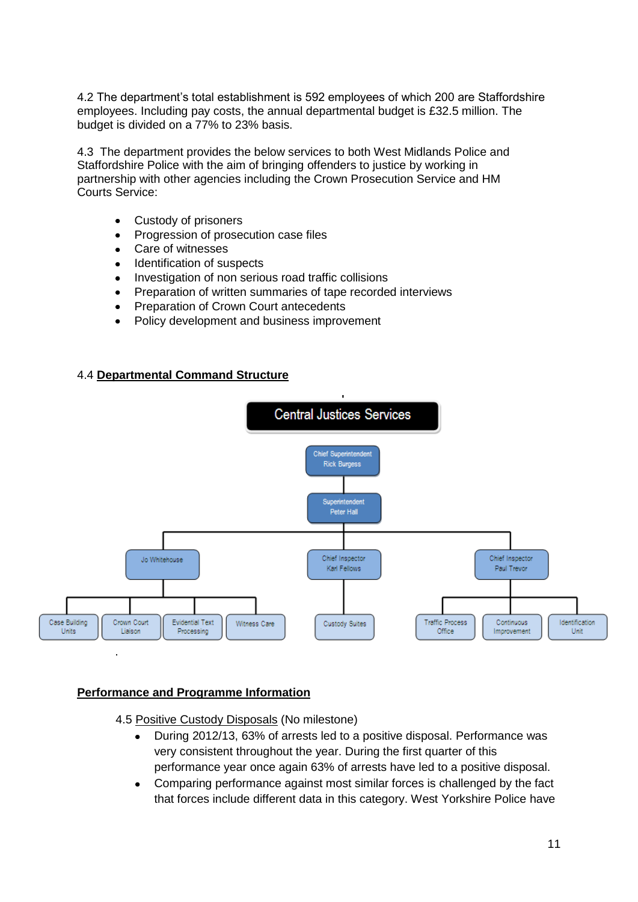4.2 The department's total establishment is 592 employees of which 200 are Staffordshire employees. Including pay costs, the annual departmental budget is £32.5 million. The budget is divided on a 77% to 23% basis.

4.3 The department provides the below services to both West Midlands Police and Staffordshire Police with the aim of bringing offenders to justice by working in partnership with other agencies including the Crown Prosecution Service and HM Courts Service:

- Custody of prisoners  $\bullet$
- Progression of prosecution case files  $\bullet$
- Care of witnesses  $\bullet$
- Identification of suspects  $\bullet$
- Investigation of non serious road traffic collisions  $\bullet$
- Preparation of written summaries of tape recorded interviews  $\bullet$
- Preparation of Crown Court antecedents
- Policy development and business improvement

# 4.4 **Departmental Command Structure**



#### **Performance and Programme Information**

- 4.5 Positive Custody Disposals (No milestone)
	- During 2012/13, 63% of arrests led to a positive disposal. Performance was very consistent throughout the year. During the first quarter of this performance year once again 63% of arrests have led to a positive disposal.
	- Comparing performance against most similar forces is challenged by the fact that forces include different data in this category. West Yorkshire Police have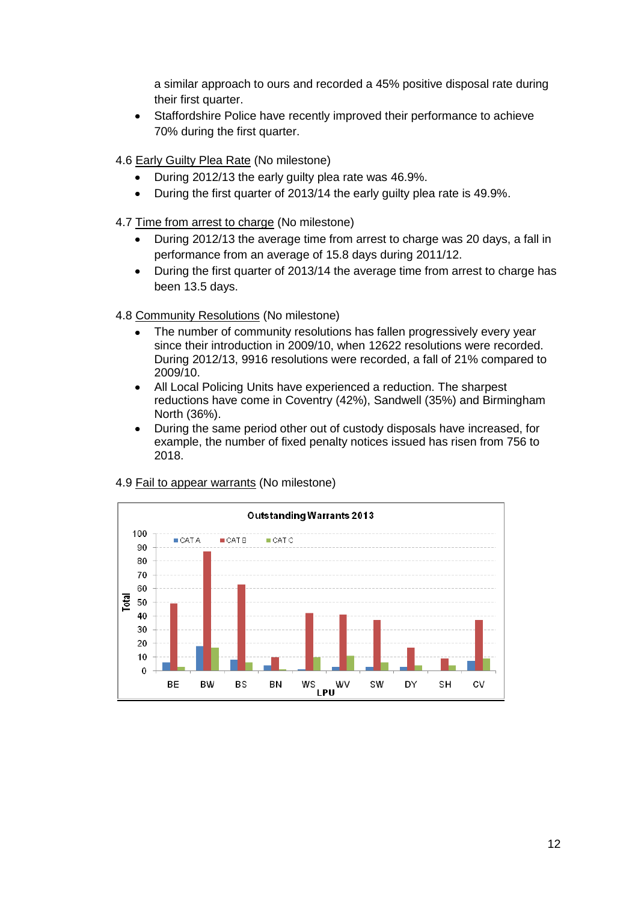a similar approach to ours and recorded a 45% positive disposal rate during their first quarter.

- Staffordshire Police have recently improved their performance to achieve 70% during the first quarter.
- 4.6 Early Guilty Plea Rate (No milestone)
	- During 2012/13 the early guilty plea rate was 46.9%.
	- During the first quarter of 2013/14 the early guilty plea rate is 49.9%.  $\bullet$
- 4.7 Time from arrest to charge (No milestone)
	- During 2012/13 the average time from arrest to charge was 20 days, a fall in performance from an average of 15.8 days during 2011/12.
	- During the first quarter of 2013/14 the average time from arrest to charge has  $\bullet$ been 13.5 days.

4.8 Community Resolutions (No milestone)

- The number of community resolutions has fallen progressively every year since their introduction in 2009/10, when 12622 resolutions were recorded. During 2012/13, 9916 resolutions were recorded, a fall of 21% compared to 2009/10.
- All Local Policing Units have experienced a reduction. The sharpest reductions have come in Coventry (42%), Sandwell (35%) and Birmingham North (36%).
- During the same period other out of custody disposals have increased, for example, the number of fixed penalty notices issued has risen from 756 to 2018.



#### 4.9 Fail to appear warrants (No milestone)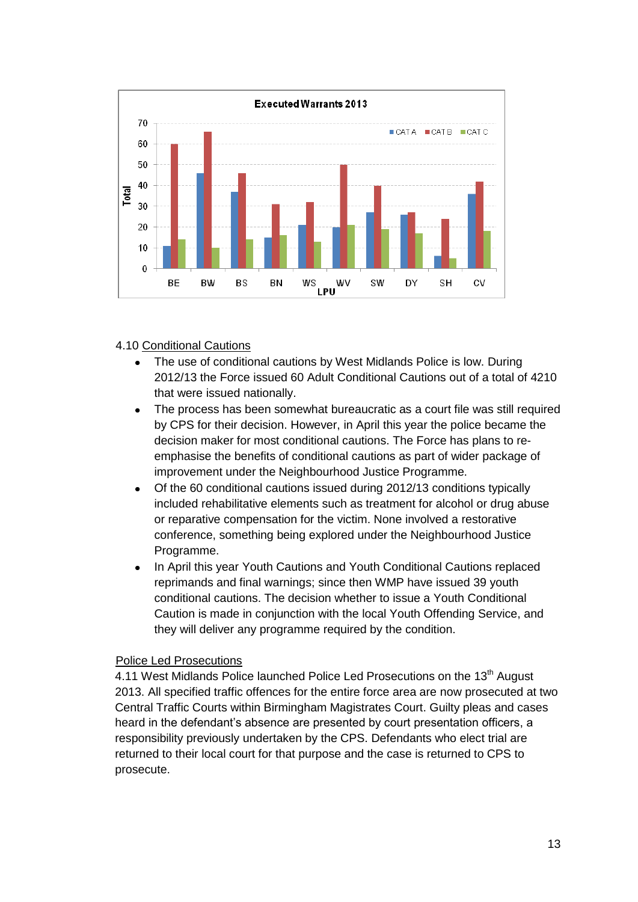

4.10 Conditional Cautions

- The use of conditional cautions by West Midlands Police is low. During 2012/13 the Force issued 60 Adult Conditional Cautions out of a total of 4210 that were issued nationally.
- The process has been somewhat bureaucratic as a court file was still required by CPS for their decision. However, in April this year the police became the decision maker for most conditional cautions. The Force has plans to reemphasise the benefits of conditional cautions as part of wider package of improvement under the Neighbourhood Justice Programme.
- Of the 60 conditional cautions issued during 2012/13 conditions typically  $\bullet$ included rehabilitative elements such as treatment for alcohol or drug abuse or reparative compensation for the victim. None involved a restorative conference, something being explored under the Neighbourhood Justice Programme.
- In April this year Youth Cautions and Youth Conditional Cautions replaced reprimands and final warnings; since then WMP have issued 39 youth conditional cautions. The decision whether to issue a Youth Conditional Caution is made in conjunction with the local Youth Offending Service, and they will deliver any programme required by the condition.

#### Police Led Prosecutions

4.11 West Midlands Police launched Police Led Prosecutions on the 13<sup>th</sup> August 2013. All specified traffic offences for the entire force area are now prosecuted at two Central Traffic Courts within Birmingham Magistrates Court. Guilty pleas and cases heard in the defendant's absence are presented by court presentation officers, a responsibility previously undertaken by the CPS. Defendants who elect trial are returned to their local court for that purpose and the case is returned to CPS to prosecute.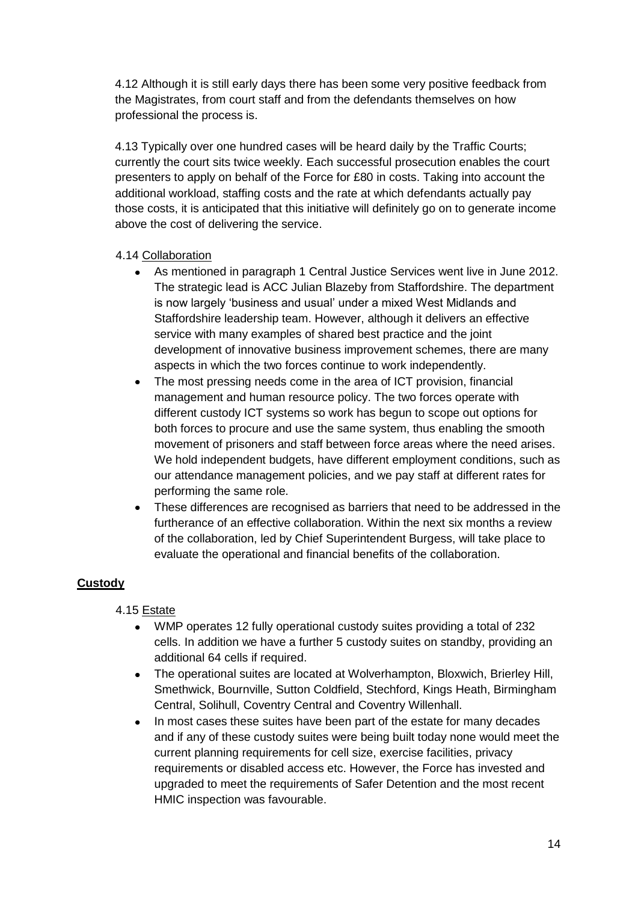4.12 Although it is still early days there has been some very positive feedback from the Magistrates, from court staff and from the defendants themselves on how professional the process is.

4.13 Typically over one hundred cases will be heard daily by the Traffic Courts; currently the court sits twice weekly. Each successful prosecution enables the court presenters to apply on behalf of the Force for £80 in costs. Taking into account the additional workload, staffing costs and the rate at which defendants actually pay those costs, it is anticipated that this initiative will definitely go on to generate income above the cost of delivering the service.

# 4.14 Collaboration

- As mentioned in paragraph 1 Central Justice Services went live in June 2012. The strategic lead is ACC Julian Blazeby from Staffordshire. The department is now largely 'business and usual' under a mixed West Midlands and Staffordshire leadership team. However, although it delivers an effective service with many examples of shared best practice and the joint development of innovative business improvement schemes, there are many aspects in which the two forces continue to work independently.
- The most pressing needs come in the area of ICT provision, financial management and human resource policy. The two forces operate with different custody ICT systems so work has begun to scope out options for both forces to procure and use the same system, thus enabling the smooth movement of prisoners and staff between force areas where the need arises. We hold independent budgets, have different employment conditions, such as our attendance management policies, and we pay staff at different rates for performing the same role.
- These differences are recognised as barriers that need to be addressed in the furtherance of an effective collaboration. Within the next six months a review of the collaboration, led by Chief Superintendent Burgess, will take place to evaluate the operational and financial benefits of the collaboration.

# **Custody**

# 4.15 Estate

- WMP operates 12 fully operational custody suites providing a total of 232 cells. In addition we have a further 5 custody suites on standby, providing an additional 64 cells if required.
- The operational suites are located at Wolverhampton, Bloxwich, Brierley Hill, Smethwick, Bournville, Sutton Coldfield, Stechford, Kings Heath, Birmingham Central, Solihull, Coventry Central and Coventry Willenhall.
- In most cases these suites have been part of the estate for many decades  $\bullet$ and if any of these custody suites were being built today none would meet the current planning requirements for cell size, exercise facilities, privacy requirements or disabled access etc. However, the Force has invested and upgraded to meet the requirements of Safer Detention and the most recent HMIC inspection was favourable.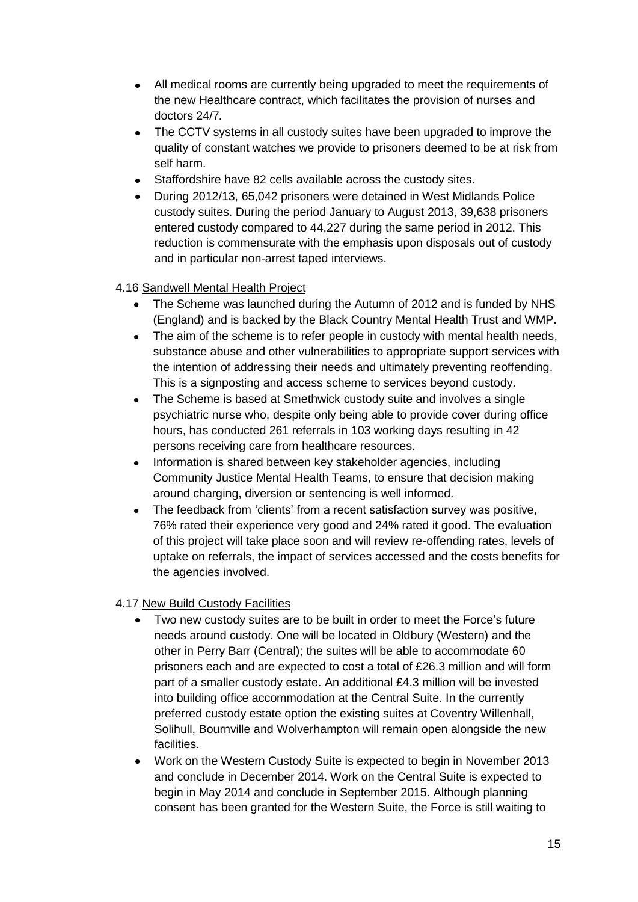- All medical rooms are currently being upgraded to meet the requirements of the new Healthcare contract, which facilitates the provision of nurses and doctors 24/7*.*
- The CCTV systems in all custody suites have been upgraded to improve the quality of constant watches we provide to prisoners deemed to be at risk from self harm.
- Staffordshire have 82 cells available across the custody sites.
- During 2012/13, 65,042 prisoners were detained in West Midlands Police custody suites. During the period January to August 2013, 39,638 prisoners entered custody compared to 44,227 during the same period in 2012. This reduction is commensurate with the emphasis upon disposals out of custody and in particular non-arrest taped interviews.

# 4.16 Sandwell Mental Health Project

- The Scheme was launched during the Autumn of 2012 and is funded by NHS (England) and is backed by the Black Country Mental Health Trust and WMP.
- The aim of the scheme is to refer people in custody with mental health needs,  $\bullet$ substance abuse and other vulnerabilities to appropriate support services with the intention of addressing their needs and ultimately preventing reoffending. This is a signposting and access scheme to services beyond custody.
- The Scheme is based at Smethwick custody suite and involves a single  $\bullet$ psychiatric nurse who, despite only being able to provide cover during office hours, has conducted 261 referrals in 103 working days resulting in 42 persons receiving care from healthcare resources.
- Information is shared between key stakeholder agencies, including Community Justice Mental Health Teams, to ensure that decision making around charging, diversion or sentencing is well informed.
- The feedback from 'clients' from a recent satisfaction survey was positive,  $\bullet$ 76% rated their experience very good and 24% rated it good. The evaluation of this project will take place soon and will review re-offending rates, levels of uptake on referrals, the impact of services accessed and the costs benefits for the agencies involved.

# 4.17 New Build Custody Facilities

- Two new custody suites are to be built in order to meet the Force's future  $\bullet$ needs around custody. One will be located in Oldbury (Western) and the other in Perry Barr (Central); the suites will be able to accommodate 60 prisoners each and are expected to cost a total of £26.3 million and will form part of a smaller custody estate. An additional £4.3 million will be invested into building office accommodation at the Central Suite. In the currently preferred custody estate option the existing suites at Coventry Willenhall, Solihull, Bournville and Wolverhampton will remain open alongside the new facilities.
- Work on the Western Custody Suite is expected to begin in November 2013 and conclude in December 2014. Work on the Central Suite is expected to begin in May 2014 and conclude in September 2015. Although planning consent has been granted for the Western Suite, the Force is still waiting to